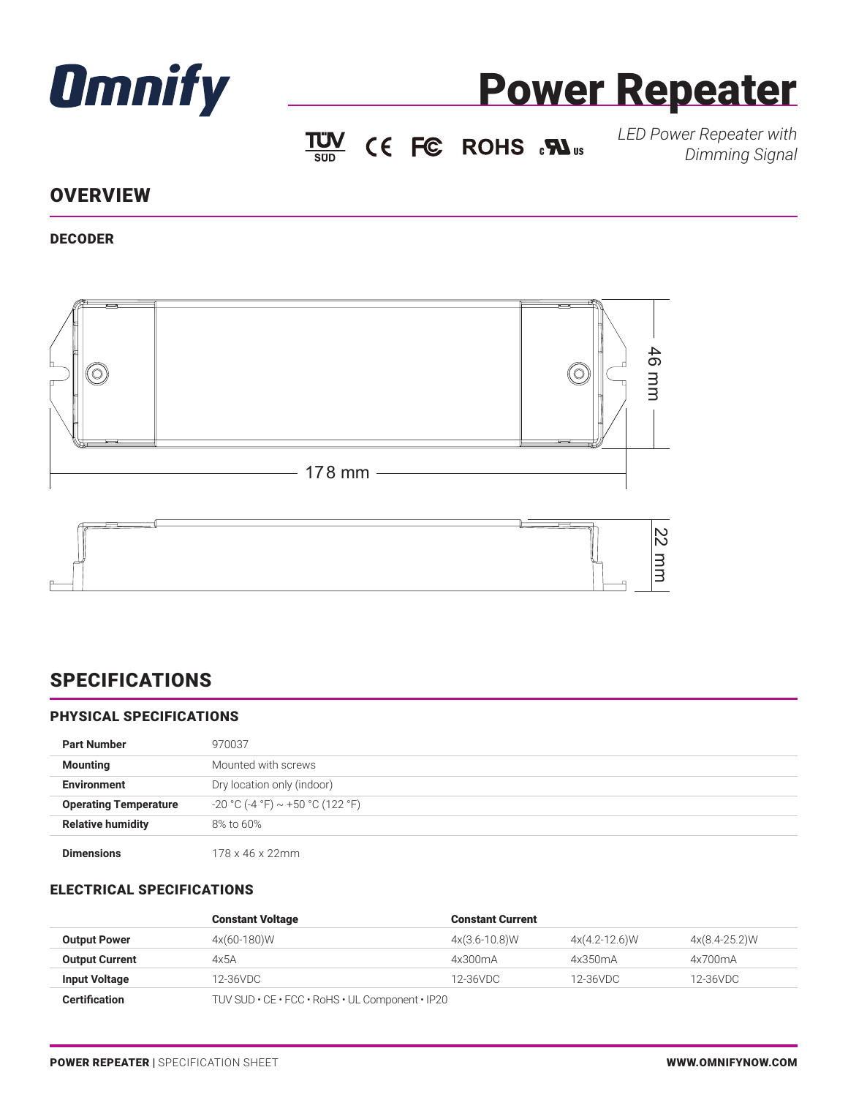



 $\underline{TW}$  CE FC ROHS  $\cdot \mathbf{W}$ <sub>us</sub>

*LED Power Repeater with Dimming Signal*

## **OVERVIEW**

### DECODER



# SPECIFICATIONS

### PHYSICAL SPECIFICATIONS

| <b>Part Number</b>           | 970037                             |
|------------------------------|------------------------------------|
| <b>Mounting</b>              | Mounted with screws                |
| <b>Environment</b>           | Dry location only (indoor)         |
| <b>Operating Temperature</b> | $-20$ °C (-4 °F) ~ +50 °C (122 °F) |
| <b>Relative humidity</b>     | 8% to 60%                          |
| <b>Dimensions</b>            | 178 x 46 x 22mm                    |

#### ELECTRICAL SPECIFICATIONS

| <b>Output Power</b>   | <b>Constant Voltage</b>                         | <b>Constant Current</b> |                 |               |  |
|-----------------------|-------------------------------------------------|-------------------------|-----------------|---------------|--|
|                       | 4x(60-180)W                                     | $4x(3.6-10.8)W$         | $4x(4.2-12.6)W$ | 4x(8.4-25.2)W |  |
| <b>Output Current</b> | 4x5A                                            | 4x300mA                 | 4x350mA         | 4x700mA       |  |
| <b>Input Voltage</b>  | 12-36VDC                                        | 12-36VDC                | 12-36VDC        | 12-36VDC      |  |
| <b>Certification</b>  | TUV SUD • CE • FCC • RoHS • UL Component • IP20 |                         |                 |               |  |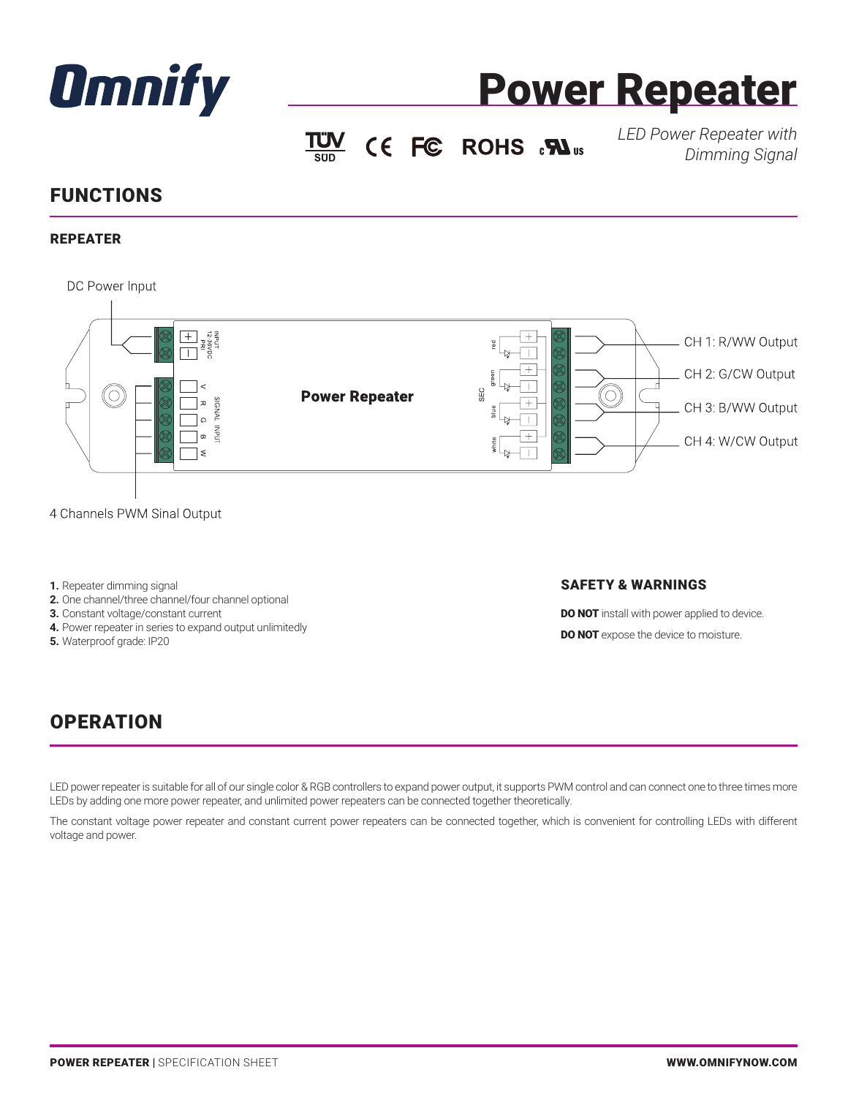



 $\underline{TW}$  CE FC ROHS  $\cdot \mathbf{W}$ <sub>us</sub>

*LED Power Repeater with Dimming Signal*

# FUNCTIONS

### REPEATER



- 4 Channels PWM Sinal Output
- **1.** Repeater dimming signal
- **2.** One channel/three channel/four channel optional
- **3.** Constant voltage/constant current
- **4.** Power repeater in series to expand output unlimitedly
- **5.** Waterproof grade: IP20

#### SAFETY & WARNINGS

**DO NOT** install with power applied to device. **DO NOT** expose the device to moisture.

## **OPERATION**

LED power repeater is suitable for all of our single color & RGB controllers to expand power output, it supports PWM control and can connect one to three times more LEDs by adding one more power repeater, and unlimited power repeaters can be connected together theoretically.

The constant voltage power repeater and constant current power repeaters can be connected together, which is convenient for controlling LEDs with different voltage and power.